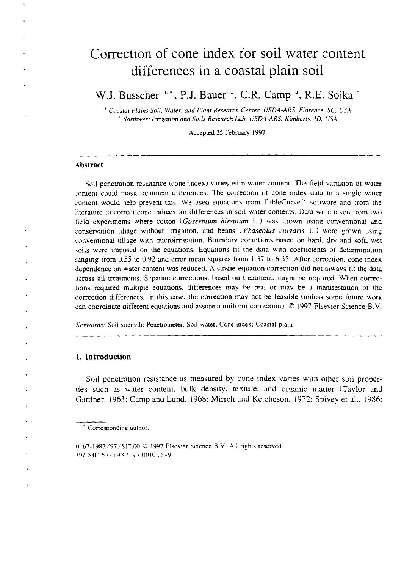# Correction of cone index for soil water content differences in a coastal plain soil

W.J. Busscher  $4.4$ . P.J. Bauer <sup>a</sup>, C.R. Camp <sup>a</sup>, R.E. Sojka <sup>b</sup>

*Coastal Plains Soil. Water. and Plant Research Center. USDA-ARS. Florence. SC. USA* <sup>2</sup> *Vorthwest Irrigation and Soils Research Lab. USDA-ARS. Kimberly, ID. USA* 

Accepted 25 February 1997

#### **Abstract**

Soil penetration resistance (cone index) varies with water content. The field variation of water content could mask treatment differences. The correction of cone index data to a single water content would help prevent this. We used equations from TableCurve<sup>14</sup> software and from the literature to correct cone indices for differences in soil water contents. Data were taken from two field experiments where cotton *(Gossvpium hirsutum L.)* was grown using conventional and conservation tillage without irrigation, and beans *(Phaseolus vulgaris L.)* were grown using conventional tillage with microirrigation. Boundary conditions based on hard, dry and soft, wet soils were imposed on the equations. Equations fit the data with coefficients of determination ranging from 0.55 to 0.92 and error mean squares from 1.37 to 6.35. After correction, cone index dependence on water content was reduced. A single-equation correction did not always fit the data across all treatments. Separate corrections, based on treatment, might be required. When corrections required multiple equations. differences may be real or may be a manifestation of the correction differences. in this case, the correction may not be feasible (unless some future work can coordinate different equations and assure a uniform correction).  $© 1997$  Elsevier Science B.V.

*Keywords: Soil strength; Penetrometer: Soil water: Cone index: Coastal plain* 

## **1. Introduction**

Soil penetration resistance as measured by cone index vanes with other soil properties such as water content, bulk density, texture, and organic matter (Taylor and Gardner. 1963: Camp and Lund. 1968: Mirreh and Ketcheson. 1972: Spivey et al.. 1986:

Corresponding author.

<sup>0167-1987/97/517.00 © 1997</sup> Elsevier Science B.V. All rights reserved. *PII* SO167-1987197)00015-9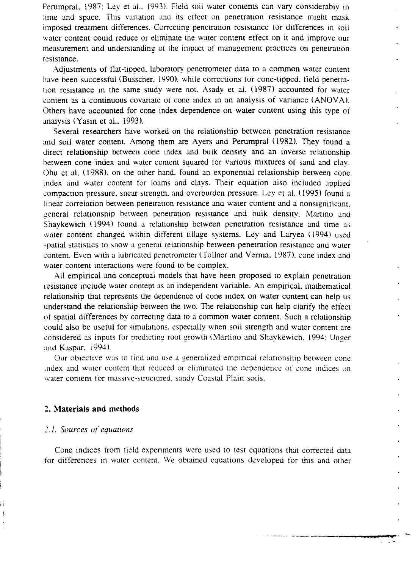Perumpral. 1987: Lev et al.. 1993). Field soil water contents can vary considerably in time and space. This variation and its effect on penetration resistance might mask imposed treatment differences. Correcting penetration resistance for differences in soil water content could reduce or eliminate the water content effect on it and improve our measurement and understanding of the impact of management practices on penetration resistance.

Adjustments of flat-tipped. laboratory penetrometer data to a common water content have been successful (Busscher, 1990). while corrections for cone-tipped. field penetration resistance in the same study were not. Asady et al. (1987) accounted for water content as a continuous covariate of cone index in an analysis of variance (ANOVA). Others have accounted for cone index dependence on water content using this type of analysis (Yasin et al.. 1993).

Several researchers have worked on the relationship between penetration resistance and soil water content. Among them are Ayers and Perumpral (1982). They found a direct relationship between cone index and bulk density and an inverse relationship between cone index and water content squared for various mixtures of sand and clay . Ohu et al. (1988), on the other hand. found an exponential relationship between cone index and water content for loams and clays. Their equation also included applied compaction pressure. shear strength. and overburden pressure. Ley et al. (1995) found a linear correlation between penetration resistance and water content and a nonsignificant. general relationship between penetration resistance and bulk density. Martino and Shaykewich (1994) found a relationship between penetration resistance and time as water content changed within different tillage systems. Ley and Laryea (1994) used spatial statistics to show a general relationship between penetration resistance and water content. Even with a lubricated penetrometer (Toliner and Verma. 1987), cone index and water content interactions were found to be complex.

All empirical and conceptual models that have been proposed to explain penetration resistance include water content as an independent variable. An empirical, mathematical relationship that represents the dependence of cone index on water content can help us understand the relationship between the two. The relationship can help clarify the effect of spatial differences by correcting data to a common water content. Such a relationship could also be useful for simulations, especially when soil strength and water content are considered as inputs for predicting root growth (Martino and Shaykewich, 1994: Unger and Kaspar. 1994).

Our objective was to find and use a generalized empirical relationship between cone index and water content that reduced or eliminated the dependence of cone indices on water content for massive-structured. sandy Coastal Plain sods.

# 2. **Materials and methods**

## 2.1. Sources of equations

Cone indices from field expenments were used to test equations that corrected data for differences in water content. We obtained equations developed for this and other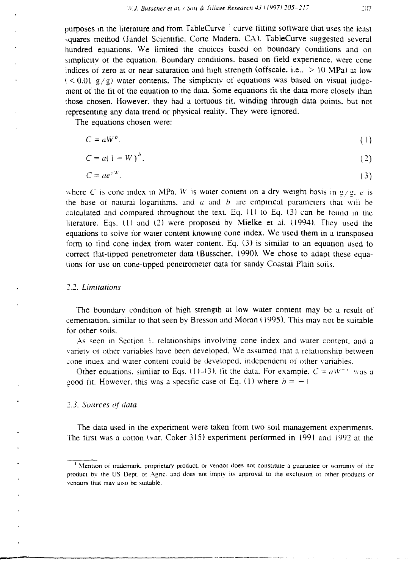purposes in the literature and from TableCurve <sup>1</sup> curve fitting software that uses the least squares method (Jandel Scientific. Corte Madera. CA). TableCurve suggested several hundred equations. We limited the choices based on boundary conditions and on simplicity of the equation. Boundary conditions. based on field experience. were cone indices of zero at or near saturation and high strength (offscale. i.e.,  $> 10 \text{ MPa}$ ) at low  $(< 0.01$  g/g) water contents. The simplicity of equations was based on visual judgement of the fit of the equation to the data. Some equations fit the data more closely than those chosen. However, they had a tortuous fit, winding through data points, but not representing any data trend or physical reality. They were ignored.

The equations chosen were:

$$
C = aW^b. \tag{1}
$$

$$
C = aWb.
$$
  
\n
$$
C = a(1 - W)b.
$$
 (1)

$$
C = ae^{iW}.
$$
 (3)

where *C* is cone index in MPa. *W* is water content on a drv weight basis in  $\frac{g}{g}$ , *e* is the base of natural logarithms, and  $a$  and  $b$  are empirical parameters that will be calculated and compared throughout the text. Eq.  $(1)$  to Eq.  $(3)$  can be found in the literature. Eqs. (1) and (2) were proposed by Mielke et al. (1994). They used the equations to solve for water content knowing cone index. We used them in a transposed form to find cone index from water content. Eq. (3) is similar to an equation used to correct flat-tipped penetrometer data (Busscher. 1990). We chose to adapt these equations for use on cone-tipped penetrometer data for sandy Coastal Plain soils.

## *2.2. Limitations*

The boundary condition of high strength at low water content may be a result of cementation, similar to that seen by Bresson and Moran (1995). This may not be suitable for other soils.

As seen in Section 1, relationships involving cone index and water content, and a variety of other variables have been developed. *We* assumed that a relationship between cone index and water content could be developed, independent of other variables.

Other equations, similar to Eqs. (1)–(3). fit the data. For example,  $C = aW^{-1}$  was a good fit. However, this was a specific case of Eq. (1) where  $b = -1$ .

#### *2.3. Sources of data*

The data used in the experiment were taken from two soil management experiments. The first was a cotton (var. Coker 315) experiment performed in 1991 and 1992 at the

Mention of trademark, proprietary product, or vendor does not constitute a guarantee or warranty of the product by the US Dept. of Agric. and does not imply its approval to the exclusion of other products or vendors that may also be suitable.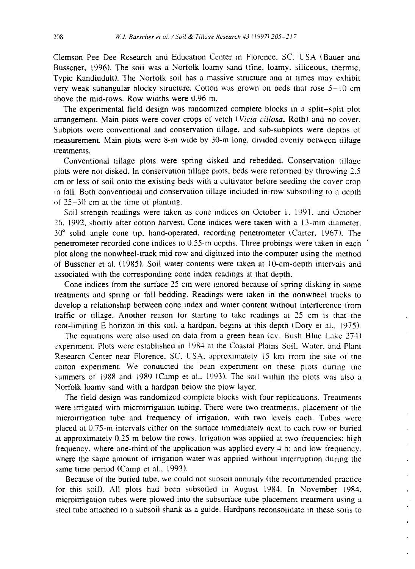Clemson Pee Dee Research and Education Center in Florence. SC. USA (Bauer and Busscher, 1996). The sod was a Norfolk loamy sand (fine, loamy, siliceous. thermic. Typic Kandiudult). The Norfolk soil has a massive structure and at times may exhibit very weak subangular blocky structure. Cotton was grown on beds that rose  $5-10$  cm above the mid-rows. Row widths were 0.96 m.

The experimental field design was randomized complete blocks in a split–split plot arrangement. Main plots were cover crops of vetch ( *Vida villosa.* Roth) and no cover. Subplots were conventional and conservation tillage, and sub-subplots were depths of measurement. Main plots were 8-m wide by 30-m long, divided evenly between tillage treatments.

Conventional tillage plots were spring disked and rebedded. Conservation tillage plots were not disked. In conservation tillage piots, beds were reformed by throwing 2.5 cm or less of soil onto the existing beds with a cultivator before seeding the cover crop in fall. Both conventional and conservation tillage included in-row subsoiling to a depth of 25-30 cm at the time of planting.

Soil strength readings were taken as cone indices on October 1, 1991, and October 26. 1992, shortly after cotton harvest. Cone indices were taken with a 13-mm diameter. 30° solid angle cone tip, hand-operated. recording penetrometer (Carter. 1967). The penetrometer recorded cone indices to 0.55-m depths. Three probines were taken in each plot along the nonwheel-track mid row and digitized into the computer using the method of Busscher et al. (1985). Soil water contents were taken at 10-cm-depth intervals and associated with the corresponding cone index readings at that depth.

Cone indices from the surface 25 cm were ignored because of spring disking in some treatments and spring or fall bedding. Readings were taken in the nonwheel tracks to develop a relationship between cone index and water content without interference from traffic or tillage. Another reason for starting to take readings at  $25$  cm is that the root-limiting E horizon in this soil, a hardpan, begins at this depth (Doty et al., 1975).

The equations were also used on data from a green bean (cv. Bush Blue Lake 274) experiment. Plots were established in 1984 at the Coastal Plains Soil. Water. and Plant Research Center near Florence. SC, USA. approximately 15 km from the site of the cotton experiment. We conducted the bean experiment on these plots during the summers of 1988 and 1989 (Camp et al.. 1993). The soil within the plots was also a Norfolk loamy sand with a hardpan below the plow layer.

The field design was randomized complete blocks with four replications. Treatments were irrigated with microirrigation tubing. There were two treatments, placement of the microirrigation tube and frequency of irrigation, with two levels each. Tubes were placed at 0.75-m intervals either on the surface immediately next to each row or buried at approximately  $0.25$  m below the rows. Irrigation was applied at two frequencies: high frequency, where one-third of the application was applied every  $4$  h: and low frequency, where the same amount of irrigation water was applied without interruption during the same time period (Camp et al.. 1993).

Because of the buried tube. we could not subsoil annually (the recommended practice for this soil). All plots had been subsoiled in August 1984. In November 1984, microirrigation tubes were plowed into the subsurface tube placement treatment using a steel tube attached to a subsoil shank as a guide. Hardpans reconsolidate in these soils to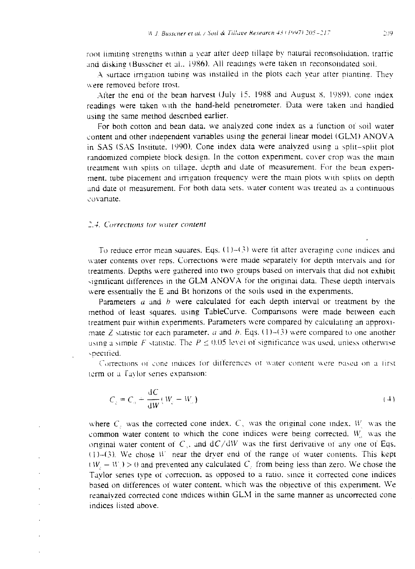root limiting strengths within a year after deep tillage by natural reconsolidation, traffic and disking (Busscher et al., 1986). All readings were taken in reconsolidated soil.

A surface irrigation tubing was installed in the plots each year after planting. They were removed before trost.

After the end of the bean harvest (July 15. 1988 and August S. 1989). cone index readings were taken with the hand-held penetrometer. Data were taken and handled using the same method described earlier.

For both cotton and bean data. we analyzed cone index as a function of soil water content and other independent variables using the general linear model (GLM) ANOVA in SAS (SAS Institute. 1990). Cone index data were analyzed using a split-split plot randomized complete block design. In the cotton experiment, cover crop was the main treatment with splits on tillage. depth and date of measurement. For the bean experiment, tube placement and irrigation frequency were the main plots with splits on depth and date of measurement. For both data sets. water content was treated as a continuous covariate.

#### 2.4. Corrections for water content

To reduce error mean squares. Eqs.  $(1)$ – $(3)$  were fit after averaging cone indices and water contents over reps. Corrections were made separately for depth intervals and for treatments. Depths were gathered into two groups based on intervals that did not exhibit significant differences in the GLM ANOVA for the original data. These depth intervals were essentially the E and Bt horizons of the soils used in the experiments.

Parameters  $a$  and  $b$  were calculated for each depth interval or treatment by the method of least squares. using TableCurve. Comparisons were made between each treatment pair within experiments. Parameters were compared by calculating an approximate Z statistic for each parameter, a and b. Eqs. (1)–(3) were compared to one another using a simple F statistic. The  $P \le 0.05$  levet of significance was used, unless otherwise ,pecitied.

Corrections of cone indices for differences of water content were based on a first term or a Favlor senes expansion:

$$
C_z = C_a + \frac{dC}{dW}(W_z - W_a)
$$
\n(4)

where C, was the corrected cone index.  $C<sub>1</sub>$  was the original cone index. W was the common water content to which the cone indices were being corrected.  $W<sub>1</sub>$  was the original water content of  $C_1$ , and  $dC/dW$  was the first derivative of any one of Eqs.  $(1)$ – $(3)$ . We chose  $W$  near the dryer end of the range of water contents. This kept  $(W_1 - W_1) > 0$  and prevented any calculated C. from being less than zero. We chose the Taylor series type of correction, as opposed to a ratio, since it corrected cone indices based on differences of water content. which was the objective of this experiment. We reanalyzed corrected cone indices within GLM in the same manner as uncorrected cone indices listed above.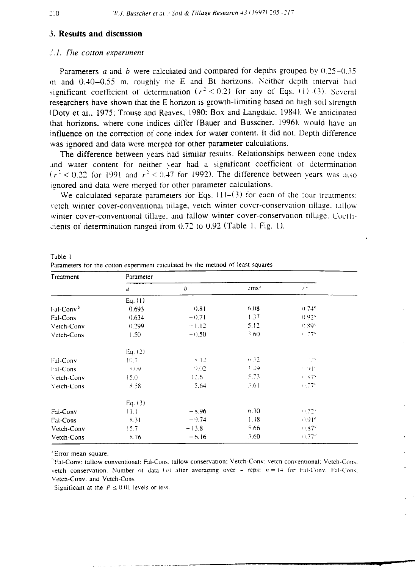# 3. **Results and discussion**

#### *3.1. The cotton experiment*

Parameters *a* and *h* were calculated and compared for depths grouped by 0.25-0.35 m and  $0.40-0.55$  m, roughly the E and Bt horizons. Neither depth interval had significant coefficient of determination  $(r^2 < 0.2)$  for any of Eqs. (1)–(3). Several researchers have shown that the E horizon is growth-limiting based on high soil strength (Doty et al., 1975; Trouse and Reaves. 1980; Box and Langdale. 1984). We anticipated that horizons. where cone indices differ (Bauer and Busscher. 1996). would have an influence on the correction of cone index for water content. It did not. Depth difference was ignored and data were merged for other parameter calculations.

The difference between years had similar results. Relationships between cone index and water content for neither year had a significant coefficient of determination  $(r<sup>2</sup> < 0.22$  for 1991 and  $r<sup>2</sup> < 0.47$  for 1992). The difference between years was also ignored and data were merged for other parameter calculations.

We calculated separate parameters for Eqs.  $(1)-(3)$  for each of the four treatments: vetch winter cover-conventional tillage, vetch winter cover-conservation tillage, tallow winter cover-conventional tillage, and fallow winter cover-conservation tillage. Coefficients of determination ranged from  $0.72$  to  $0.92$  (Table 1. Fig. 1).

| Treatment             | Parameter |         |                  |                       |  |
|-----------------------|-----------|---------|------------------|-----------------------|--|
|                       | u         | b       | ems <sup>2</sup> | $r -$                 |  |
|                       | Eq. (1)   |         |                  |                       |  |
| Fal-Conv <sup>b</sup> | 0.693     | $-0.81$ | 6.08             | $0.74^{\circ}$        |  |
| Fal-Cons              | 0.634     | $-0.71$ | 1.37             | 0.92 <sup>c</sup>     |  |
| Vetch-Conv            | 0.299     | $-1.12$ | 5.12             | (1.89)                |  |
| Vetch-Cons            | 1.50      | $-0.50$ | 3.60             | $+1.77$ <sup>c</sup>  |  |
|                       | Eq. (2)   |         |                  |                       |  |
| Fal-Conv              | 10.7      | 8.12    | $\approx 32$     | s nos                 |  |
| Fal-Cons              | 5(19)     | 9.02    | $+ 49$           | つり下                   |  |
| Vetch-Conv            | 15.0      | 12.6    | 5.73.            | $4.87^{\circ}$        |  |
| Vetch-Cons            | 8.58      | 5.64    | 3.61             | $+1.77^c$             |  |
|                       | Eq. $(3)$ |         |                  |                       |  |
| Fal-Conv              | 11.1      | $-8.96$ | 6.30             | $0.72^{\circ}$        |  |
| Fal-Cons              | 8.31      | $-9.74$ | 1.48             | $(0.91)$ <sup>c</sup> |  |
| Vetch-Conv            | 15.7      | $-13.8$ | 5.66             | $0.87^c$              |  |
| Vetch-Cons            | 8.76      | $-6.16$ | 3.60             | $0.77^c$              |  |

Table 1 Parameters for the cotton ex periment calculated by the method of least squares

'Error mean square.

'Fal-Cony : tallow conventional: Fal-Cons: tallow conservation: Vetch-Con <sup>y</sup> : vetch conventional: Vetch-Cons: vetch conservation. Number of data  $(n)$  after averaging over  $4$  reps:  $n = 14$  for Fal-Conv. Fal-Cons. Vetch-Conv. and Vetch-Cons.

Significant at the  $P \leq 0.01$  levels or less.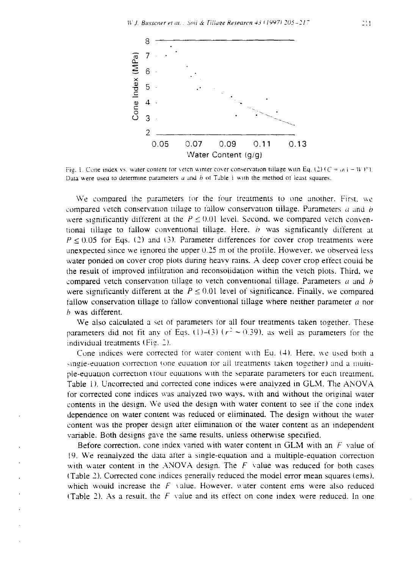

Fig. 1. Cone index vs. water content tor vetch winter cover conservation tillage with Eq. (2)  $(C = \alpha i - W)^p$ ). Data were used to determine parameters  $a$  and  $b$  of Table 1 with the method of least squares.

We compared the parameters for the tour treatments to one another. First. *we* compared vetch conservation tillage to fallow conservation tillage. Parameters  $a$  and  $b$ were significantly different at the  $P \le 0.01$  level. Second, we compared vetch conventional tillage to fallow conventional tillage. Here,  $b$  was significantly different at  $P \le 0.05$  for Eqs. (2) and (3). Parameter differences for cover crop treatments were unexpected since we ignored the upper  $0.25$  m of the profile. However, we observed less water ponded on cover crop plots during heavy rains. A deep cover crop effect could be the result of improved infiltration and reconsoiidation within the vetch plots. Third. we compared vetch conservation tillage to vetch conventional tillage. Parameters  $a$  and  $b$ were significantly different at the  $P \le 0.01$  level of significance. Finally, we compared fallow conservation tillage to fallow conventional tillage where neither parameter *a* nor *b* was different.

We also calculated a set of parameters for all four treatments taken together. These parameters did not fit any of Eqs. (1)–(3) ( $r^2 \approx 0.39$ ), as well as parameters for the individual treatments  $(Fig, 2)$ .

Cone indices were corrected for water content with Eq. (4). Here. we used both a single-equation correction (one equation for all treatments taken together) and a multiple-eq uation correction (tour equations with the separate parameters for each treatment. Table 1). Uncorrected and corrected cone indices were analyzed in GLM. The ANOVA for corrected cone indices was analyzed two ways, with and without the original water contents in the design. We used the design with water content to see if the cone index dependence on water content was reduced or eliminated. The design without the water content was the proper design after elimination of the water content as an independent variable. Both designs gave the same results, unless otherwise specified.

Before correction. cone index varied with water content in GLM with an *F* value of l9. We reanalyzed the data after a sin gle-equation and a multiple-equation correction with water content in the ANOVA design. The  $F$  value was reduced for both cases (Table 2). Corrected cone indices generally reduced the model error mean squares (ems). which would increase the *F* value. However, water content ems were also reduced (Table 2). As a result. the *F* value and its effect on cone index were reduced. In one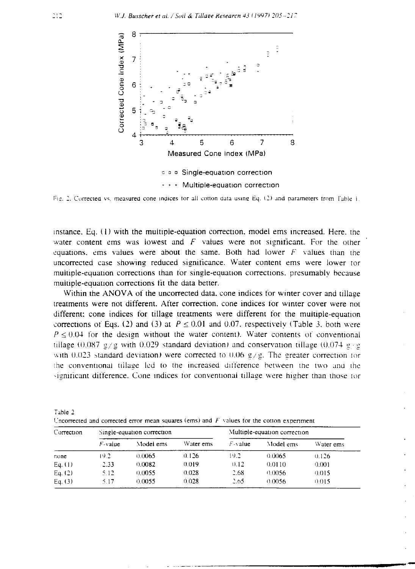

Fig. 2. Corrected vs. measured cone indices for all cotton data using Eq. (2) and parameters from Fable 1.

instance. Eq. (1) with the multiple-equation correction, model ems increased. Here. the water content ems was lowest and  $F$  values were not significant. For the other equations. ems values were about the same. Both had lower *F* values than the uncorrected case showing reduced significance. Water content ems were lower for multiple-equation corrections than for single-equation corrections. presumably because multiple-equation corrections tit the data better.

Within the ANOVA of the uncorrected data, cone indices for winter cover and tillage treatments were not different. After correction, cone indices for winter cover were not different: cone indices for tillage treatments were different for the multiple-equation corrections of Eqs. (2) and (3) at  $P \le 0.01$  and 0.07, respectively (Table 3, both were  $P \le 0.04$  for the design without the water content). Water contents of conventional tillage (0.087 g/g with 0.029 standard deviation) and conservation tillage (0.074 g/g) with 0.023 standard deviation) were corrected to 0.06  $g/g$ . The greater correction for the conventional tillage led to the increased difference between the two and the significant difference. Cone indices for conventional tillage were higher than those tor

| Correction |            | Single-equation correction |           | Multiple-equation correction |           |           |  |
|------------|------------|----------------------------|-----------|------------------------------|-----------|-----------|--|
|            | $F$ -value | Model ems                  | Water ems | $F$ -value                   | Model ems | Water ems |  |
| none       | 19.2       | 0.0065                     | 0.126     | 19.2                         | 0.0065    | 0.126     |  |
| Eq. (1)    | 2.33       | 0.0082                     | 0.019     | 0.12                         | 0.0110    | 0.001     |  |
| Eq. (2)    | 5.12       | 0.0055                     | 0.028     | 2.68                         | 0.0056    | 0.015     |  |
| Eq. (3)    | 5.17       | 0.0055                     | 0.028     | 2.65                         | 0.0056    | 0.015     |  |

Table 2 Lncorrected and corrected error mean squares (ems) and *F values* for the cotton expenment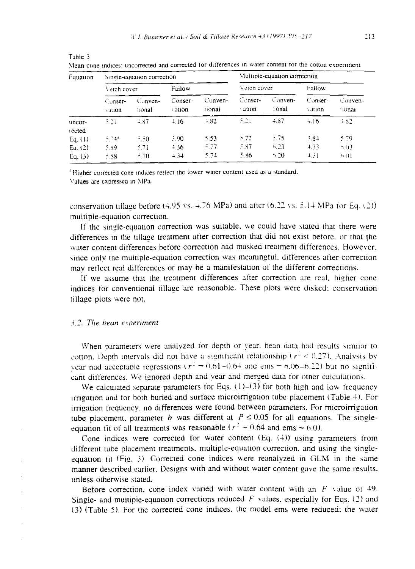| Equation         |                     | Single-equation correction |                   |                   | Multiple-equation correction |                   |                   |                     |  |
|------------------|---------------------|----------------------------|-------------------|-------------------|------------------------------|-------------------|-------------------|---------------------|--|
|                  | Vetch cover         |                            | Fallow            |                   | Vetch cover                  |                   | Fallow            |                     |  |
|                  | $Conser-$<br>vation | $Conven-$<br>tional        | Conser-<br>vation | Conven-<br>tional | Conser-<br>vation            | Conven-<br>tional | Conser-<br>vation | $Conven-$<br>tional |  |
| uncor-<br>rected | 5.21                | $-87$                      | 4.16              | $+82$             | 5.21                         | $+87$             | 4.16              | $-82$               |  |
| Eq. (1)          | $5.74*$             | 5.50                       | 3.90              | 5.53              | 5.72                         | 5.75              | 3.84              | 5.79                |  |
| Eq. $(2)$        | 5.89                | 5.71                       | 4.36              | 5.77              | 5.87                         | 6.23              | 4.33              | 6.03                |  |
| Eq. $(3)$        | 5.88                | 5.70                       | 4.34              | 5.74              | 5.36                         | 6.20              | 4.31              | 6.01                |  |

Mean cone indices: uncorrected and corrected for differences in water content for the cotton exoenment

<sup>4</sup>Higher corrected cone indices reflect the lower water content used as a standard. Values are exoressed in MPa.

conservation tillage before  $(4.95 \text{ vs. } 4.76 \text{ MPa})$  and after  $(6.22 \text{ vs. } 5.14 \text{ MPa}$  for Eq. (2)) multiple-equation correction.

If the single-equation correction was suitable, we could have stated that there were differences in the tillage treatment after correction that did not exist before. or that the water content differences before correction had masked treatment differences. However. since only the multiple-equation correction was meaningful, differences after correction may reflect real differences or may be a manifestation of the different corrections.

If we assume that the treatment differences after correction are real, higher cone indices for conventional tillage are reasonable. These plots were disked: conservation tillage plots were not.

#### *3.2. The bean experiment*

Table 3

When parameters were analyzed for depth or year. bean data had results similar to cotton. Depth intervals did not have a significant relationship ( $r^2$   $\leq$  0.27). Analysis by year had acceptable regressions ( $r^2 = 0.61-0.64$  and ems = 6.06-6.22) but no significant differences. We ignored depth and year and merged data for other calculations.

We calculated separate parameters for Eqs.  $(1)$ - $(3)$  for both high and low frequency irrigation and for both buried and surface microirrigation tube placement (Table 4). For irrigation frequency, no differences were found between parameters. For microirrigation tube placement, parameter b was different at  $P \le 0.05$  for all equations. The singleequation fit of all treatments was reasonable ( $r^2 \sim 0.64$  and ems  $\sim 6.0$ ).

Cone indices were corrected for water content  $(Eq. (4))$  using parameters from different tube placement treatments, multiple-equation correction, and using the singleequation fit (Fig. 3). Corrected cone indices were reanalyzed in  $GLM$  in the same manner described earlier. Designs with and without water content gave the same results. unless otherwise stated.

Before correction, cone index varied with water content with an  $F$  value of 49. Single- and multiple-equation corrections reduced  $F$  values, especially for Eqs. (2) and (3) (Table 5). For the corrected cone indices. the model ems were reduced: the water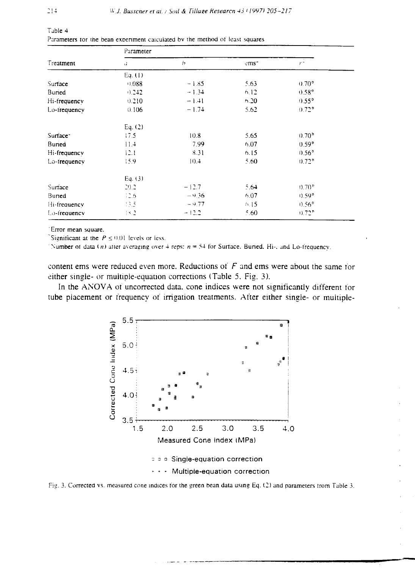|                      | Parameter    |         |                  |                                      |  |  |  |  |
|----------------------|--------------|---------|------------------|--------------------------------------|--|--|--|--|
| Treatment            | ú.           | b       | cms <sup>2</sup> | $r^2$                                |  |  |  |  |
|                      | Eq. (1)      |         |                  |                                      |  |  |  |  |
| Surface              | 0.088        | $-1.85$ | 5.63             | $0.70^{\circ}$                       |  |  |  |  |
| Buried               | 0.242        | $-1.34$ | 6.12             | $0.58$ <sup><math>\circ</math></sup> |  |  |  |  |
| Hi-frequency         | 0.210        | $-1.41$ | 6.20             | $0.55^{\circ}$                       |  |  |  |  |
| Lo-frequency         | 0.106        | $-1.74$ | 5.62             | $0.72$ <sup>o</sup>                  |  |  |  |  |
|                      | Eq. $(2)$    |         |                  |                                      |  |  |  |  |
| Surface <sup>-</sup> | 17.5         | 10.8    | 5.65             | 0.70 <sup>b</sup>                    |  |  |  |  |
| Buned                | 11.4         | 7.99    | 6.07             | $0.59^{\circ}$                       |  |  |  |  |
| Hi-frequency         | 12.1         | 8.31    | 6.15             | 0.56 <sup>b</sup>                    |  |  |  |  |
| Lo-frequency         | 15.9         | 10.4    | 5.60             | $0.72^{\circ}$                       |  |  |  |  |
|                      | Eq. $(3)$    |         |                  |                                      |  |  |  |  |
| Surface              | 20.2         | $-12.7$ | 5.64             | 0.70 <sup>b</sup>                    |  |  |  |  |
| Buried               | $-2.6$       | $-9.36$ | 6.07             | $(0.59^{\circ})$                     |  |  |  |  |
| Hi-frequency         | 13.5         | $-9.77$ | 6.15             | $0.56^{\circ}$                       |  |  |  |  |
| Lo-frequency         | $1 \times 2$ | $-12.2$ | .60              | $0.72$ <sup>6</sup>                  |  |  |  |  |

| l abie 4 |  |  |  |  |                                                                              |  |
|----------|--|--|--|--|------------------------------------------------------------------------------|--|
|          |  |  |  |  | Parameters tor the bean experiment calculated by the method of least squares |  |

'Error mean square.

Significant at the  $P \le 0.01$  levels or less.

Number of data (n) after averaging over 4 reps:  $n = 54$  for Surface. Buried, Hi-, and Lo-frequency.

content ems were reduced even more. Reductions of  $F$  and ems were about the same for either single- or multiple-equation corrections (Table 5, Fig. 3).

In the ANOVA of uncorrected data, cone indices were not significantly different for tube placement or frequency of irrigation treatments. After either single- or multiple-



Fig. 3. Corrected vs. measured cone indices for the green bean data using Eq. (2) and parameters from Table 3.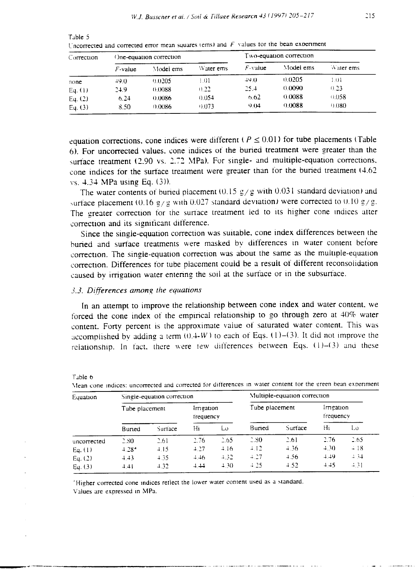| Correction |            | One-equation correction |           | Two-equation correction |           |           |  |
|------------|------------|-------------------------|-----------|-------------------------|-----------|-----------|--|
|            | $F$ -value | Model ems               | Water ems | $F$ -value              | Model ems | Water ems |  |
| none       | $+9.0$     | 0.0205                  | LO 1      | $+9.0$                  | 0.0205    | LOI       |  |
| Eq. (1)    | 24.9       | (1.0088)                | 0.22      | 25.4                    | 0.0090    | 0.23      |  |
| Eq. $(2)$  | 6.24       | 0.0086                  | 0.054     | 6.62                    | 0.0088    | 0.058     |  |
| Eq. $(3)$  | 8.50       | 0.0086                  | 0.073     | 9.04                    | 0.0088    | 0.080     |  |

Uncorrected and corrected error mean squares (ems) and  $F$  values for the bean experiment

equation corrections, cone indices were different ( $P \le 0.01$ ) for tube placements (Table 6). For uncorrected values, cone indices of the buried treatment were greater than the surface treatment (2.90 vs. 2.72 MPa). For single- and multiple-equation corrections, cone indices for the surface treatment were greater than for the buried treatment (4.62 vs. 4.34 MPa using Eq. (3)).

The water contents of buried placement  $(0.15 \frac{g}{g})$  with  $0.031$  standard deviation) and surface placement (0.16  $g/g$  with 0.027 standard deviation) were corrected to 0.10  $g/g$ . The greater correction for the surface treatment led to its higher cone indices after correction and its significant difference.

Since the single-equation correction was suitable, cone index differences between the buried and surface treatments were masked by differences in water content before correction. The single-equation correction was about the same as the multiple-equation correction. Differences for tube placement could be a result of different reconsolidation caused by irrigation water entering the soil at the surface or in the subsurface.

# 3.3. Differences among the equations

Tible 6

Table 5

In an attempt to improve the relationship between cone index and water content, we forced the cone index of the empirical relationship to go through zero at 40% water content. Forty percent is the approximate value of saturated water content. This was accomplished by adding a term  $(0.4-W)$  to each of Eqs. (1)–(3). It did not improve the relationship. In fact, there were few differences between Eqs. (1)-(3) and these

| Equation    |                | Single-equation correction |                        | Multiple-equation correction |                |         |                       |       |
|-------------|----------------|----------------------------|------------------------|------------------------------|----------------|---------|-----------------------|-------|
|             | Tube placement |                            | Imigation<br>trequency |                              | Tube placement |         | imgation<br>frequency |       |
|             | Buned          | Surface                    | Hi                     | Lυ                           | Buried         | Surface | Hi                    | Lo    |
| uncorrected | 2.80           | 2.61                       | 2.76                   | 2.65                         | 2.30           | 2.61    | 2.76                  | 2.65  |
| Eq. (1)     | $+28^{4}$      | 4.15                       | 4.27                   | $+16$                        | 4.12           | 4.36    | 4.30                  | $-18$ |
| Eq. $(2)$   | $+43$          | $+35$                      | $+46$                  | 4.32                         | 4.27           | $+56$   | $+49$                 | $+34$ |
| Eq. $(3)$   | 4.41           | 4.32                       | $+ + +$                | 4.30                         | 4.25           | $+52$   | 4.45                  | $-31$ |

Mean cone indices: uncorrected and corrected for differences in water content for the green bean experiment

'Higher corrected cone indices reflect the lower water content used as a standard. Values are expressed in MPa.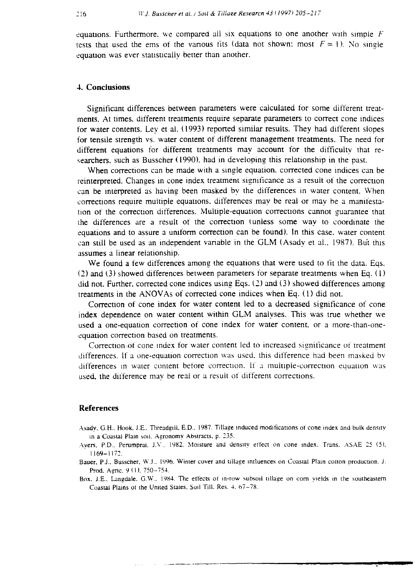equations. Furthermore. we compared all six equations to one another with simple *F* tests that used the ems of the various fits (data not shown: most  $F = \{1\}$ ). No single equation was ever statistically better than another.

# 4. **Conclusions**

Significant differences between parameters were calculated for some different treatments. At times, different treatments require separate parameters to correct cone indices for water contents. Ley et al. (1993) reported similar results. They had different slopes for tensile strength vs. water content of different management treatments. The need for different equations for different treatments may account for the difficulty that researchers, such as Busscher (1990). had in developing this relationship in the past.

When corrections can be made with a single equation, corrected cone indices can be reinterpreted. Changes in cone index treatment significance as a result of the correction can be interpreted as having been masked by the differences in water content. When corrections require multiple equations, differences may be real or may be a manifestation of the correction differences. Multiple-equation corrections cannot guarantee that the differences are a result of the correction (unless some way to coordinate the equations and to assure a uniform correction can be found). In this case, water content can still be used as an independent variable in the GLM (Asady et al., 1987). But this assumes a linear relationship.

We found a few differences among the equations that were used to fit the data. Eqs. (2) and (3) showed differences between parameters for separate treatments when Eq. ( I) did not. Further, corrected cone indices using Eqs.  $(2)$  and  $(3)$  showed differences among treatments in the ANOVAs of corrected cone indices when Eq. (1) did not.

Correction of cone index for water content led to a decreased significance of cone index dependence on water content within GLM analyses. This was true whether we used a one-equation correction of cone index for water content. or a more-than-oneequation correction based on treatments.

Correction-of cone index for water content led to increased significance of treatment differences. If a one-equation correction was used, this difference had been masked by differences in water content before correction. If a multiple-correction equation was used, the difference may be real or a result of different corrections.

### **References**

- Asady, G.H.. Hook. J.E.. Threadgill, E.D.. 1987. Tillage induced modifications of cone index and bulk density in a Coastal Plain soil. Agronomy Abstracts. p. 235.
- Avers. P.D.. Perumpral. J.V.. 1982. Moisture and density effect on cone index. Trans. ASAE 25 (5). 1169-1172.
- Bauer, P.J., Busscher, W.J., 1996. Winter cover and tillage influences on Coastal Plain cotton production. J. Prod. Agric. 9 (1), 750-754.
- Box. J.E.. Langdale. G.W.. 1984. The effects of in-row subsoil tillage on corn yields in the southeastern Coastal Plains 01 the United States. Soil Till. Res. 4. 67-78.